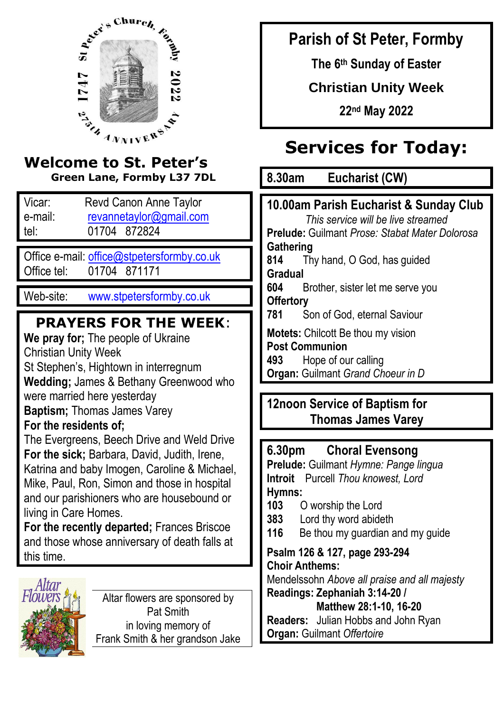

#### **Welcome to St. Peter's Green Lane, Formby L37 7DL**

Vicar: Revd Canon Anne Taylor e-mail: [revannetaylor@gmail.com](mailto:revannetaylor@gmail.com) tel: 01704 872824

Office e-mail: [office@stpetersformby.co.uk](mailto:office@stpetersformby.co.uk)<br>Office tel: 01704 871171 Office tel: 01704 871171

Web-site: www.stpetersformby.co.uk

## **PRAYERS FOR THE WEEK**:

**We pray for;** The people of Ukraine Christian Unity Week St Stephen's, Hightown in interregnum **Wedding;** James & Bethany Greenwood who were married here yesterday **Baptism;** Thomas James Varey

#### **For the residents of;**

The Evergreens, Beech Drive and Weld Drive **For the sick;** Barbara, David, Judith, Irene, Katrina and baby Imogen, Caroline & Michael, Mike, Paul, Ron, Simon and those in hospital and our parishioners who are housebound or living in Care Homes.

**For the recently departed;** Frances Briscoe and those whose anniversary of death falls at this time.



Altar flowers are sponsored by Pat Smith in loving memory of Frank Smith & her grandson Jake

## **Parish of St Peter, Formby**

**The 6 th Sunday of Easter**

**Christian Unity Week**

**22nd May 2022**

# **Services for Today:**

## **8.30am Eucharist (CW)**

**10.00am Parish Eucharist & Sunday Club** *This service will be live streamed* **Prelude:** Guilmant *Prose: Stabat Mater Dolorosa* **Gathering 814** Thy hand, O God, has guided **Gradual 604** Brother, sister let me serve you **Offertory 781** Son of God, eternal Saviour **Motets:** Chilcott Be thou my vision **Post Communion 493** Hope of our calling **Organ:** Guilmant *Grand Choeur in D*

## **12noon Service of Baptism for Thomas James Varey**

## **6.30pm Choral Evensong**

**Prelude:** Guilmant *Hymne: Pange lingua* **Introit** Purcell *Thou knowest, Lord* **Hymns:**

- **103** O worship the Lord
- **383** Lord thy word abideth
- **116** Be thou my guardian and my guide

#### **Psalm 126 & 127, page 293-294 Choir Anthems:**

Mendelssohn *Above all praise and all majesty* **Readings: Zephaniah 3:14-20 /** 

 **Matthew 28:1-10, 16-20**

**Readers:** Julian Hobbs and John Ryan **Organ:** Guilmant *Offertoire*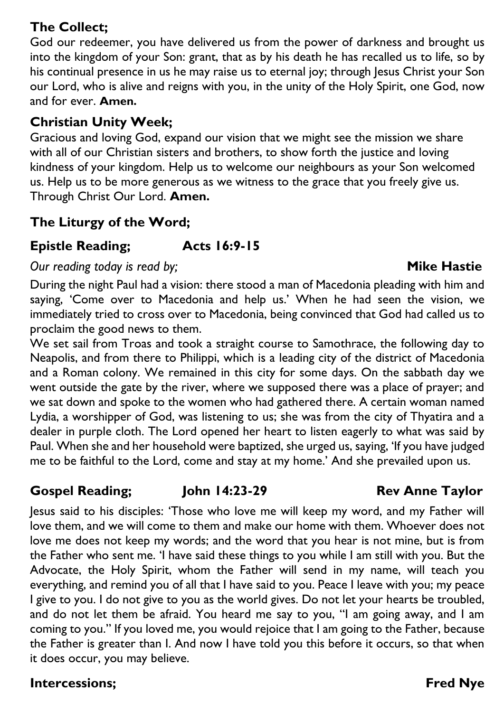#### **The Collect;**

God our redeemer, you have delivered us from the power of darkness and brought us into the kingdom of your Son: grant, that as by his death he has recalled us to life, so by his continual presence in us he may raise us to eternal joy; through Jesus Christ your Son our Lord, who is alive and reigns with you, in the unity of the Holy Spirit, one God, now and for ever. **Amen.**

#### **Christian Unity Week;**

Gracious and loving God, expand our vision that we might see the mission we share with all of our Christian sisters and brothers, to show forth the justice and loving kindness of your kingdom. Help us to welcome our neighbours as your Son welcomed us. Help us to be more generous as we witness to the grace that you freely give us. Through Christ Our Lord. **Amen.**

### **The Liturgy of the Word;**

### **Epistle Reading; Acts 16:9-15**

#### *Our reading today is read by;* **Mike Hastie Mike Hastie**

During the night Paul had a vision: there stood a man of Macedonia pleading with him and saying, 'Come over to Macedonia and help us.' When he had seen the vision, we immediately tried to cross over to Macedonia, being convinced that God had called us to proclaim the good news to them.

We set sail from Troas and took a straight course to Samothrace, the following day to Neapolis, and from there to Philippi, which is a leading city of the district of Macedonia and a Roman colony. We remained in this city for some days. On the sabbath day we went outside the gate by the river, where we supposed there was a place of prayer; and we sat down and spoke to the women who had gathered there. A certain woman named Lydia, a worshipper of God, was listening to us; she was from the city of Thyatira and a dealer in purple cloth. The Lord opened her heart to listen eagerly to what was said by Paul. When she and her household were baptized, she urged us, saying, 'If you have judged me to be faithful to the Lord, come and stay at my home.' And she prevailed upon us.

#### **Gospel Reading; John 14:23-29 Rev Anne Taylor**

Jesus said to his disciples: 'Those who love me will keep my word, and my Father will love them, and we will come to them and make our home with them. Whoever does not love me does not keep my words; and the word that you hear is not mine, but is from the Father who sent me. 'I have said these things to you while I am still with you. But the Advocate, the Holy Spirit, whom the Father will send in my name, will teach you everything, and remind you of all that I have said to you. Peace I leave with you; my peace I give to you. I do not give to you as the world gives. Do not let your hearts be troubled, and do not let them be afraid. You heard me say to you, "I am going away, and I am coming to you." If you loved me, you would rejoice that I am going to the Father, because the Father is greater than I. And now I have told you this before it occurs, so that when it does occur, you may believe.

#### **Intercessions; Exercise 2008 Fred Nye**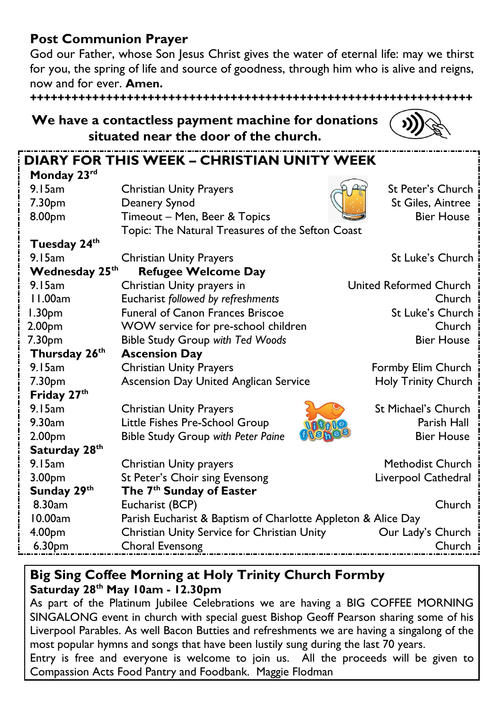### **Post Communion Prayer**

God our Father, whose Son Jesus Christ gives the water of eternal life: may we thirst for you, the spring of life and source of goodness, through him who is alive and reigns, now and for ever. **Amen. ++++++++++++++++++++++++++++++++++++++++++++++++++++++++++++++++**

**We have a contactless payment machine for donations situated near the door of the church.**

| <b>DIARY FOR THIS WEEK - CHRISTIAN UNITY WEEK</b> |                                                              |                               |
|---------------------------------------------------|--------------------------------------------------------------|-------------------------------|
| Monday 23rd                                       |                                                              |                               |
| 9.15am                                            | <b>Christian Unity Prayers</b>                               | <b>St Peter's Church</b>      |
| 7.30 <sub>pm</sub>                                | Deanery Synod                                                | <b>St Giles, Aintree</b>      |
| 8.00pm                                            | Timeout - Men, Beer & Topics                                 | <b>Bier House</b>             |
|                                                   | Topic: The Natural Treasures of the Sefton Coast             |                               |
| Tuesday 24 <sup>th</sup>                          |                                                              |                               |
| 9.15am                                            | <b>Christian Unity Prayers</b>                               | St Luke's Church              |
| <b>Wednesday 25th</b>                             | <b>Refugee Welcome Day</b>                                   |                               |
| 9.15am                                            | Christian Unity prayers in                                   | <b>United Reformed Church</b> |
| 11.00am                                           | Eucharist followed by refreshments                           | Church                        |
| 1.30 <sub>pm</sub>                                | <b>Funeral of Canon Frances Briscoe</b>                      | <b>St Luke's Church</b>       |
| 2.00 <sub>pm</sub>                                | WOW service for pre-school children                          | Church                        |
| 7.30 <sub>pm</sub>                                | <b>Bible Study Group with Ted Woods</b>                      | <b>Bier House</b>             |
| Thursday 26th                                     | <b>Ascension Day</b>                                         |                               |
| 9.15am                                            | <b>Christian Unity Prayers</b>                               | Formby Elim Church            |
| 7.30 <sub>pm</sub>                                | <b>Ascension Day United Anglican Service</b>                 | <b>Holy Trinity Church</b>    |
| Friday 27th                                       |                                                              |                               |
| 9.15am                                            | <b>Christian Unity Prayers</b>                               | <b>St Michael's Church</b>    |
| 9.30am                                            | Little Fishes Pre-School Group<br><b>NACALO</b>              | Parish Hall                   |
| 2.00 <sub>pm</sub>                                | fishes<br><b>Bible Study Group with Peter Paine</b>          | <b>Bier House</b>             |
| Saturday 28 <sup>th</sup>                         |                                                              |                               |
| 9.15am                                            | Christian Unity prayers                                      | <b>Methodist Church</b>       |
| 3.00pm                                            | St Peter's Choir sing Evensong                               | Liverpool Cathedral           |
| Sunday 29th                                       | The 7 <sup>th</sup> Sunday of Easter                         |                               |
| 8.30am                                            | Eucharist (BCP)                                              | Church                        |
| 10.00am                                           | Parish Eucharist & Baptism of Charlotte Appleton & Alice Day |                               |
| 4.00pm                                            | Christian Unity Service for Christian Unity                  | Our Lady's Church             |
| 6.30pm                                            | Choral Evensong                                              | Church                        |

#### **Big Sing Coffee Morning at Holy Trinity Church Formby Saturday 28th May 10am - 12.30pm**

As part of the Platinum Jubilee Celebrations we are having a BIG COFFEE MORNING SINGALONG event in church with special guest Bishop Geoff Pearson sharing some of his Liverpool Parables. As well Bacon Butties and refreshments we are having a singalong of the most popular hymns and songs that have been lustily sung during the last 70 years. Entry is free and everyone is welcome to join us. All the proceeds will be given to

Compassion Acts Food Pantry and Foodbank. Maggie Flodman